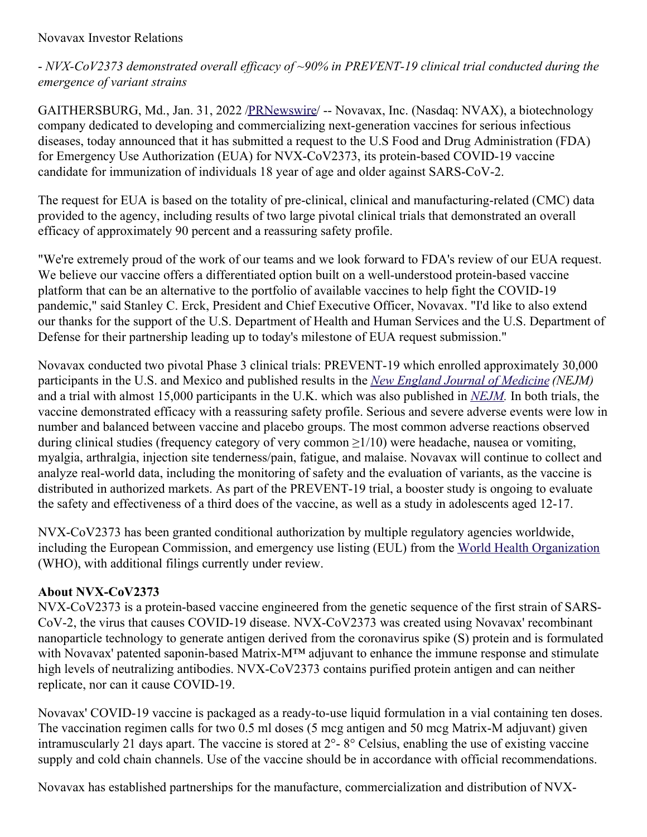- *NVX-CoV2373 demonstrated overall ef icacy of ~90% in PREVENT-19 clinical trial conducted during the emergence of variant strains*

GAITHERSBURG, Md., Jan. 31, 2022 [/PRNewswire](http://www.prnewswire.com/)/ -- Novavax, Inc. (Nasdaq: NVAX), a biotechnology company dedicated to developing and commercializing next-generation vaccines for serious infectious diseases, today announced that it has submitted a request to the U.S Food and Drug Administration (FDA) for Emergency Use Authorization (EUA) for NVX-CoV2373, its protein-based COVID-19 vaccine candidate for immunization of individuals 18 year of age and older against SARS-CoV-2.

The request for EUA is based on the totality of pre-clinical, clinical and manufacturing-related (CMC) data provided to the agency, including results of two large pivotal clinical trials that demonstrated an overall efficacy of approximately 90 percent and a reassuring safety profile.

"We're extremely proud of the work of our teams and we look forward to FDA's review of our EUA request. We believe our vaccine offers a differentiated option built on a well-understood protein-based vaccine platform that can be an alternative to the portfolio of available vaccines to help fight the COVID-19 pandemic," said Stanley C. Erck, President and Chief Executive Officer, Novavax. "I'd like to also extend our thanks for the support of the U.S. Department of Health and Human Services and the U.S. Department of Defense for their partnership leading up to today's milestone of EUA request submission."

Novavax conducted two pivotal Phase 3 clinical trials: PREVENT-19 which enrolled approximately 30,000 participants in the U.S. and Mexico and published results in the *New England Journal of [Medicine](https://c212.net/c/link/?t=0&l=en&o=3428978-1&h=4185830657&u=https%3A%2F%2Fwww.nejm.org%2Fdoi%2Ffull%2F10.1056%2FNEJMoa2116185%3Fquery%3Dfeatured_home&a=New+England+Journal+of+Medicine) (NEJM)* and a trial with almost 15,000 participants in the U.K. which was also published in *[NEJM](https://c212.net/c/link/?t=0&l=en&o=3428978-1&h=889537351&u=https%3A%2F%2Fwww.nejm.org%2Fdoi%2Ffull%2F10.1056%2FNEJMoa2107659&a=NEJM).* In both trials, the vaccine demonstrated efficacy with a reassuring safety profile. Serious and severe adverse events were low in number and balanced between vaccine and placebo groups. The most common adverse reactions observed during clinical studies (frequency category of very common ≥1/10) were headache, nausea or vomiting, myalgia, arthralgia, injection site tenderness/pain, fatigue, and malaise. Novavax will continue to collect and analyze real-world data, including the monitoring of safety and the evaluation of variants, as the vaccine is distributed in authorized markets. As part of the PREVENT-19 trial, a booster study is ongoing to evaluate the safety and effectiveness of a third does of the vaccine, as well as a study in adolescents aged 12-17.

NVX-CoV2373 has been granted conditional authorization by multiple regulatory agencies worldwide, including the European Commission, and emergency use listing (EUL) from the World Health [Organization](https://c212.net/c/link/?t=0&l=en&o=3428978-1&h=1252681756&u=https%3A%2F%2Fir.novavax.com%2F2021-12-20-World-Health-Organization-Grants-Second-Emergency-Use-Listing-for-Novavax-COVID-19-Vaccine&a=World+Health+Organization) (WHO), with additional filings currently under review.

# **About NVX-CoV2373**

NVX-CoV2373 is a protein-based vaccine engineered from the genetic sequence of the first strain of SARS-CoV-2, the virus that causes COVID-19 disease. NVX-CoV2373 was created using Novavax' recombinant nanoparticle technology to generate antigen derived from the coronavirus spike (S) protein and is formulated with Novavax' patented saponin-based Matrix-M™ adjuvant to enhance the immune response and stimulate high levels of neutralizing antibodies. NVX-CoV2373 contains purified protein antigen and can neither replicate, nor can it cause COVID-19.

Novavax' COVID-19 vaccine is packaged as a ready-to-use liquid formulation in a vial containing ten doses. The vaccination regimen calls for two 0.5 ml doses (5 mcg antigen and 50 mcg Matrix-M adjuvant) given intramuscularly 21 days apart. The vaccine is stored at 2°- 8° Celsius, enabling the use of existing vaccine supply and cold chain channels. Use of the vaccine should be in accordance with official recommendations.

Novavax has established partnerships for the manufacture, commercialization and distribution of NVX-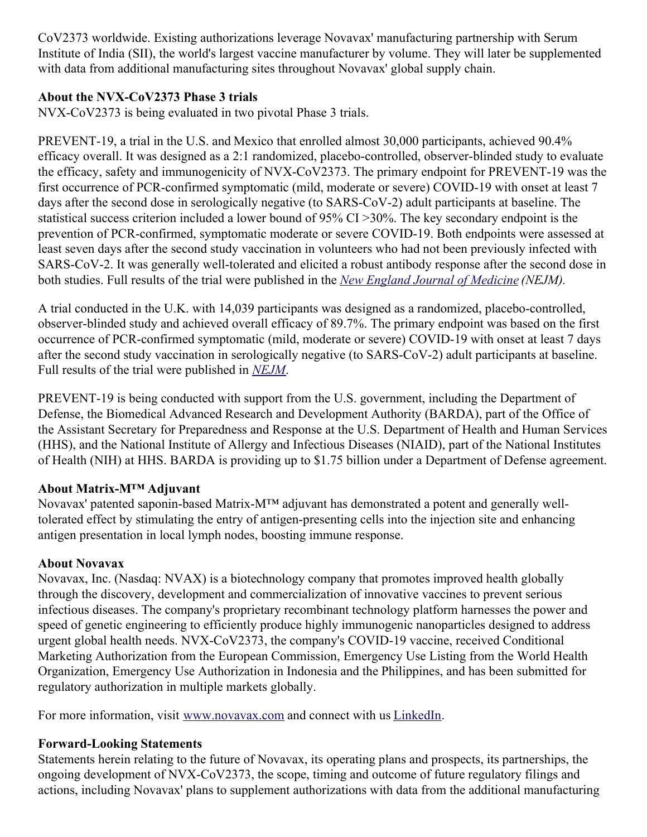CoV2373 worldwide. Existing authorizations leverage Novavax' manufacturing partnership with Serum Institute of India (SII), the world's largest vaccine manufacturer by volume. They will later be supplemented with data from additional manufacturing sites throughout Novavax' global supply chain.

## **About the NVX-CoV2373 Phase 3 trials**

NVX-CoV2373 is being evaluated in two pivotal Phase 3 trials.

PREVENT-19, a trial in the U.S. and Mexico that enrolled almost 30,000 participants, achieved 90.4% efficacy overall. It was designed as a 2:1 randomized, placebo-controlled, observer-blinded study to evaluate the efficacy, safety and immunogenicity of NVX-CoV2373. The primary endpoint for PREVENT-19 was the first occurrence of PCR-confirmed symptomatic (mild, moderate or severe) COVID-19 with onset at least 7 days after the second dose in serologically negative (to SARS-CoV-2) adult participants at baseline. The statistical success criterion included a lower bound of 95% CI >30%. The key secondary endpoint is the prevention of PCR-confirmed, symptomatic moderate or severe COVID-19. Both endpoints were assessed at least seven days after the second study vaccination in volunteers who had not been previously infected with SARS-CoV-2. It was generally well-tolerated and elicited a robust antibody response after the second dose in both studies. Full results of the trial were published in the *New England Journal of [Medicine](https://c212.net/c/link/?t=0&l=en&o=3428978-1&h=4185830657&u=https%3A%2F%2Fwww.nejm.org%2Fdoi%2Ffull%2F10.1056%2FNEJMoa2116185%3Fquery%3Dfeatured_home&a=New+England+Journal+of+Medicine) (NEJM).*

A trial conducted in the U.K. with 14,039 participants was designed as a randomized, placebo-controlled, observer-blinded study and achieved overall efficacy of 89.7%. The primary endpoint was based on the first occurrence of PCR-confirmed symptomatic (mild, moderate or severe) COVID-19 with onset at least 7 days after the second study vaccination in serologically negative (to SARS-CoV-2) adult participants at baseline. Full results of the trial were published in *[NEJM](https://c212.net/c/link/?t=0&l=en&o=3428978-1&h=889537351&u=https%3A%2F%2Fwww.nejm.org%2Fdoi%2Ffull%2F10.1056%2FNEJMoa2107659&a=NEJM)*.

PREVENT-19 is being conducted with support from the U.S. government, including the Department of Defense, the Biomedical Advanced Research and Development Authority (BARDA), part of the Office of the Assistant Secretary for Preparedness and Response at the U.S. Department of Health and Human Services (HHS), and the National Institute of Allergy and Infectious Diseases (NIAID), part of the National Institutes of Health (NIH) at HHS. BARDA is providing up to \$1.75 billion under a Department of Defense agreement.

## **About Matrix-M™ Adjuvant**

Novavax' patented saponin-based Matrix-M™ adjuvant has demonstrated a potent and generally welltolerated effect by stimulating the entry of antigen-presenting cells into the injection site and enhancing antigen presentation in local lymph nodes, boosting immune response.

#### **About Novavax**

Novavax, Inc. (Nasdaq: NVAX) is a biotechnology company that promotes improved health globally through the discovery, development and commercialization of innovative vaccines to prevent serious infectious diseases. The company's proprietary recombinant technology platform harnesses the power and speed of genetic engineering to efficiently produce highly immunogenic nanoparticles designed to address urgent global health needs. NVX-CoV2373, the company's COVID-19 vaccine, received Conditional Marketing Authorization from the European Commission, Emergency Use Listing from the World Health Organization, Emergency Use Authorization in Indonesia and the Philippines, and has been submitted for regulatory authorization in multiple markets globally.

For more information, visit [www.novavax.com](https://c212.net/c/link/?t=0&l=en&o=3428978-1&h=274133259&u=https%3A%2F%2Fc212.net%2Fc%2Flink%2F%3Ft%3D0%26l%3Den%26o%3D3425721-1%26h%3D1328944201%26u%3Dhttp%253A%252F%252Fwww.novavax.com%252F%26a%3Dwww.novavax.com&a=www.novavax.com) and connect with us [LinkedIn](https://c212.net/c/link/?t=0&l=en&o=3428978-1&h=2646657515&u=https%3A%2F%2Fc212.net%2Fc%2Flink%2F%3Ft%3D0%26l%3Den%26o%3D3425721-1%26h%3D1749870132%26u%3Dhttps%253A%252F%252Fwww.linkedin.com%252Fcompany%252Fnovavax%252F%26a%3DLinkedIn&a=LinkedIn).

#### **Forward-Looking Statements**

Statements herein relating to the future of Novavax, its operating plans and prospects, its partnerships, the ongoing development of NVX-CoV2373, the scope, timing and outcome of future regulatory filings and actions, including Novavax' plans to supplement authorizations with data from the additional manufacturing